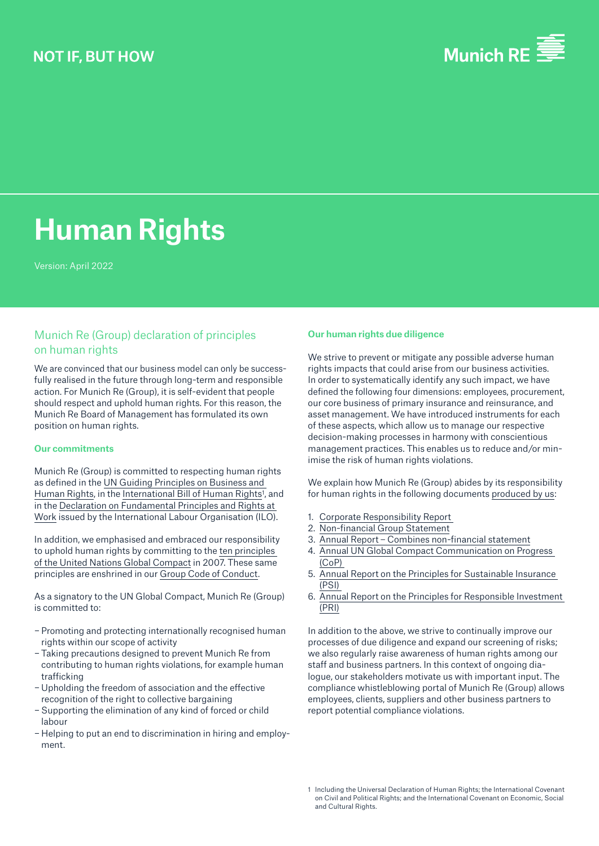

# **Human Rights**

Version: April 2022

# Munich Re (Group) declaration of principles on human rights

We are convinced that our business model can only be successfully realised in the future through long-term and responsible action. For Munich Re (Group), it is self-evident that people should respect and uphold human rights. For this reason, the Munich Re Board of Management has formulated its own position on human rights.

## **Our commitments**

Munich Re (Group) is committed to respecting human rights as defined in the [UN Guiding Principles on Business and](https://www.ohchr.org/sites/default/files/documents/publications/guidingprinciplesbusinesshr_en.pdf)  [Human Rights](https://www.ohchr.org/sites/default/files/documents/publications/guidingprinciplesbusinesshr_en.pdf), in the International Bill of Human Rights<sup>1</sup>, and in the [Declaration on Fundamental Principles and Rights at](https://www.ilo.org/declaration/thedeclaration/textdeclaration/lang--en/index.htm)  [Work](https://www.ilo.org/declaration/thedeclaration/textdeclaration/lang--en/index.htm) issued by the International Labour Organisation (ILO).

In addition, we emphasised and embraced our responsibility to uphold human rights by committing to the [ten principles](https://www.unglobalcompact.org/what-is-gc/mission/principles)  [of the United Nations Global Compact](https://www.unglobalcompact.org/what-is-gc/mission/principles) in 2007. These same principles are enshrined in our [Group Code of Conduct](https://www.munichre.com/content/dam/munichre/contentlounge/website-pieces/documents/MunichRe-Code-of-Conduct-2018_en.pdf/_jcr_content/renditions/original./MunichRe-Code-of-Conduct-2018_en.pdf).

As a signatory to the UN Global Compact, Munich Re (Group) is committed to:

- − Promoting and protecting internationally recognised human rights within our scope of activity
- − Taking precautions designed to prevent Munich Re from contributing to human rights violations, for example human trafficking
- − Upholding the freedom of association and the effective recognition of the right to collective bargaining
- − Supporting the elimination of any kind of forced or child labour
- − Helping to put an end to discrimination in hiring and employment.

### **Our human rights due diligence**

We strive to prevent or mitigate any possible adverse human rights impacts that could arise from our business activities. In order to systematically identify any such impact, we have defined the following four dimensions: employees, procurement, our core business of primary insurance and reinsurance, and asset management. We have introduced instruments for each of these aspects, which allow us to manage our respective decision-making processes in harmony with conscientious management practices. This enables us to reduce and/or minimise the risk of human rights violations.

We explain how Munich Re (Group) abides by its responsibility for human rights in the following documents [produced by us](https://www.munichre.com/de/unternehmen/sustainability/download-center.html):

- 1. [Corporate Responsibility Report](https://www.munichre.com/de/unternehmen/sustainability.html)
- 2. [Non-financial Group Statement](https://www.munichre.com/en/company/about-munich-re/corporate-governance.html)
- 3. [Annual Report Combines non-financial statement](https://www.munichre.com/content/dam/munichre/mrwebsiteslaunches/2021-annual-report/MunichRe-Group-Annual-Report-2021-en.pdf/_jcr_content/renditions/original./MunichRe-Group-Annual-Report-2021-en.pdf)
- 4. [Annual UN Global Compact Communication on Progress](https://www.unglobalcompact.org/participation/report/cop/create-and-submit/active/432884)  [\(CoP\)](https://www.unglobalcompact.org/participation/report/cop/create-and-submit/active/432884)
- 5. [Annual Report on the Principles for Sustainable Insurance](https://www.munichre.com/de/unternehmen/sustainability/download-center.html)  [\(PSI\)](https://www.munichre.com/de/unternehmen/sustainability/download-center.html)
- 6. [Annual Report on the Principles for Responsible Investment](https://www.munichre.com/de/unternehmen/sustainability/download-center.html)  [\(PRI\)](https://www.munichre.com/de/unternehmen/sustainability/download-center.html)

In addition to the above, we strive to continually improve our processes of due diligence and expand our screening of risks; we also regularly raise awareness of human rights among our staff and business partners. In this context of ongoing dialogue, our stakeholders motivate us with important input. The compliance whistleblowing portal of Munich Re (Group) allows employees, clients, suppliers and other business partners to report potential compliance violations.

<sup>1</sup> Including the Universal Declaration of Human Rights; the International Covenant on Civil and Political Rights; and the International Covenant on Economic, Social and Cultural Rights.